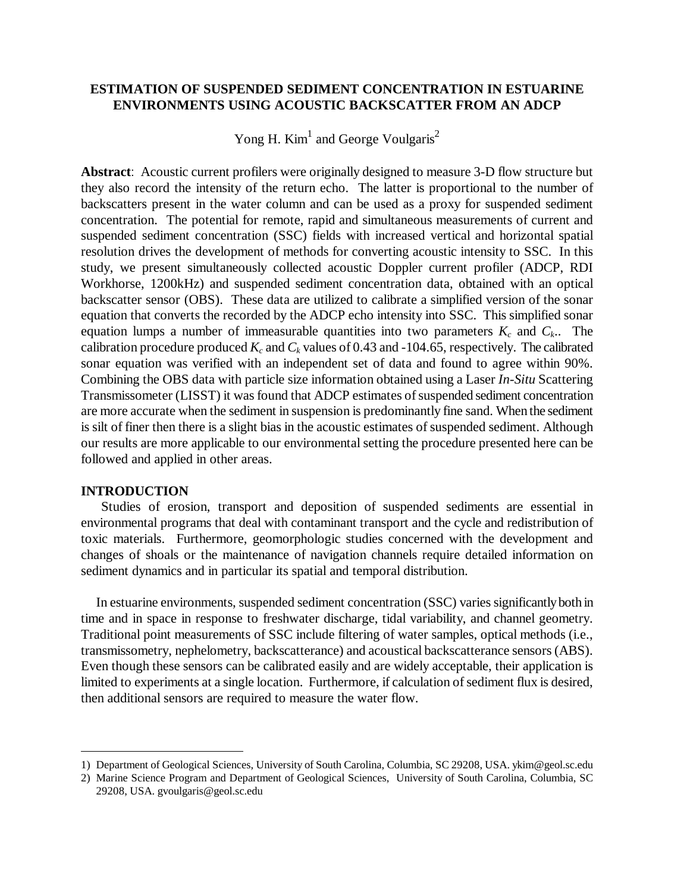# **ESTIMATION OF SUSPENDED SEDIMENT CONCENTRATION IN ESTUARINE ENVIRONMENTS USING ACOUSTIC BACKSCATTER FROM AN ADCP**

Yong H. Kim<sup>1</sup> and George Voulgaris<sup>2</sup>

**Abstract**: Acoustic current profilers were originally designed to measure 3-D flow structure but they also record the intensity of the return echo. The latter is proportional to the number of backscatters present in the water column and can be used as a proxy for suspended sediment concentration. The potential for remote, rapid and simultaneous measurements of current and suspended sediment concentration (SSC) fields with increased vertical and horizontal spatial resolution drives the development of methods for converting acoustic intensity to SSC. In this study, we present simultaneously collected acoustic Doppler current profiler (ADCP, RDI Workhorse, 1200kHz) and suspended sediment concentration data, obtained with an optical backscatter sensor (OBS). These data are utilized to calibrate a simplified version of the sonar equation that converts the recorded by the ADCP echo intensity into SSC. This simplified sonar equation lumps a number of immeasurable quantities into two parameters *K<sup>c</sup>* and *Ck*.. The calibration procedure produced  $K_c$  and  $C_k$  values of 0.43 and -104.65, respectively. The calibrated sonar equation was verified with an independent set of data and found to agree within 90%. Combining the OBS data with particle size information obtained using a Laser *In-Situ* Scattering Transmissometer (LISST) it was found that ADCP estimates of suspended sediment concentration are more accurate when the sediment in suspension is predominantly fine sand. When the sediment is silt of finer then there is a slight bias in the acoustic estimates of suspended sediment. Although our results are more applicable to our environmental setting the procedure presented here can be followed and applied in other areas.

### **INTRODUCTION**

Studies of erosion, transport and deposition of suspended sediments are essential in environmental programs that deal with contaminant transport and the cycle and redistribution of toxic materials. Furthermore, geomorphologic studies concerned with the development and changes of shoals or the maintenance of navigation channels require detailed information on sediment dynamics and in particular its spatial and temporal distribution.

In estuarine environments, suspended sediment concentration (SSC) variessignificantlyboth in time and in space in response to freshwater discharge, tidal variability, and channel geometry. Traditional point measurements of SSC include filtering of water samples, optical methods (i.e., transmissometry, nephelometry, backscatterance) and acoustical backscatterance sensors(ABS). Even though these sensors can be calibrated easily and are widely acceptable, their application is limited to experiments at a single location. Furthermore, if calculation of sediment flux is desired, then additional sensors are required to measure the water flow.

<sup>1)</sup> Department of Geological Sciences, University of South Carolina, Columbia, SC 29208, USA. ykim@geol.sc.edu

<sup>2)</sup> Marine Science Program and Department of Geological Sciences, University of South Carolina, Columbia, SC 29208, USA. gvoulgaris@geol.sc.edu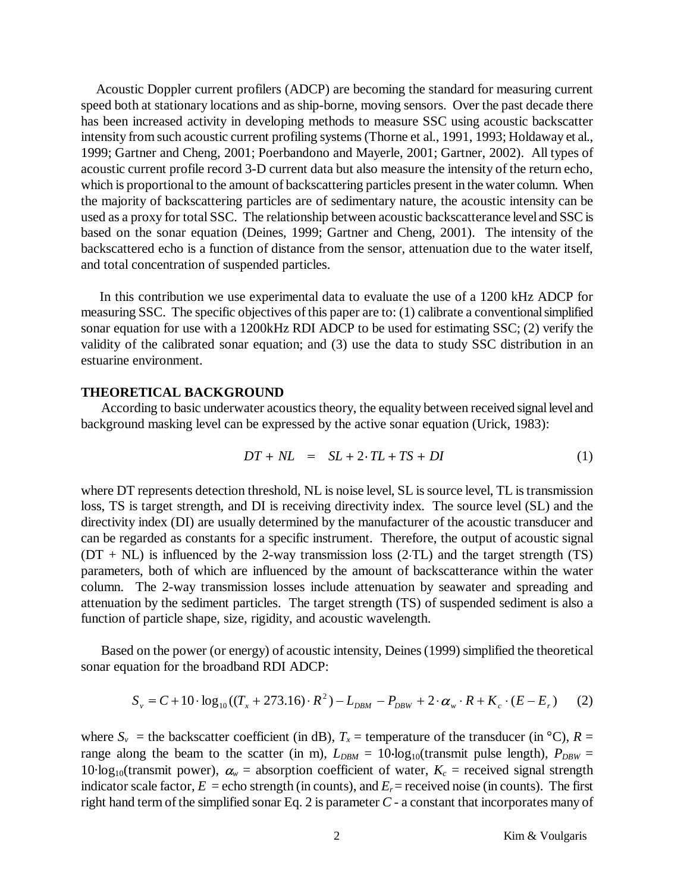Acoustic Doppler current profilers (ADCP) are becoming the standard for measuring current speed both at stationary locations and as ship-borne, moving sensors. Over the past decade there has been increased activity in developing methods to measure SSC using acoustic backscatter intensity from such acoustic current profiling systems(Thorne et al., 1991, 1993; Holdaway et al., 1999; Gartner and Cheng, 2001; Poerbandono and Mayerle, 2001; Gartner, 2002). All types of acoustic current profile record 3-D current data but also measure the intensity of the return echo, which is proportional to the amount of backscattering particles present in the water column. When the majority of backscattering particles are of sedimentary nature, the acoustic intensity can be used as a proxy for total SSC. The relationship between acoustic backscatterance level and SSCis based on the sonar equation (Deines, 1999; Gartner and Cheng, 2001). The intensity of the backscattered echo is a function of distance from the sensor, attenuation due to the water itself, and total concentration of suspended particles.

In this contribution we use experimental data to evaluate the use of a 1200 kHz ADCP for measuring SSC. The specific objectives of this paper are to: (1) calibrate a conventionalsimplified sonar equation for use with a 1200kHz RDI ADCP to be used for estimating SSC; (2) verify the validity of the calibrated sonar equation; and (3) use the data to study SSC distribution in an estuarine environment.

### **THEORETICAL BACKGROUND**

According to basic underwater acoustics theory, the equality between received signal level and background masking level can be expressed by the active sonar equation (Urick, 1983):

$$
DT + NL = SL + 2 \cdot TL + TS + DI \tag{1}
$$

where DT represents detection threshold, NL is noise level, SL is source level, TL is transmission loss, TS is target strength, and DI is receiving directivity index. The source level (SL) and the directivity index (DI) are usually determined by the manufacturer of the acoustic transducer and can be regarded as constants for a specific instrument. Therefore, the output of acoustic signal  $(DT + NL)$  is influenced by the 2-way transmission loss (2 TL) and the target strength (TS) parameters, both of which are influenced by the amount of backscatterance within the water column. The 2-way transmission losses include attenuation by seawater and spreading and attenuation by the sediment particles. The target strength (TS) of suspended sediment is also a function of particle shape, size, rigidity, and acoustic wavelength.

Based on the power (or energy) of acoustic intensity, Deines(1999) simplified the theoretical sonar equation for the broadband RDI ADCP:

$$
S_v = C + 10 \cdot \log_{10}((T_x + 273.16) \cdot R^2) - L_{DBM} - P_{DBW} + 2 \cdot \alpha_w \cdot R + K_c \cdot (E - E_r)
$$
 (2)

where  $S_v$  = the backscatter coefficient (in dB),  $T_x$  = temperature of the transducer (in  $\textdegree$ C),  $R =$ range along the beam to the scatter (in m),  $L_{DBM} = 10 \log_{10}(\text{transmit pulse length})$ ,  $P_{DBW} =$ 10·log<sub>10</sub>(transmit power),  $\alpha_w$  = absorption coefficient of water,  $K_c$  = received signal strength indicator scale factor,  $E =$  echo strength (in counts), and  $E_r =$  received noise (in counts). The first right hand term of the simplified sonar Eq. 2 is parameter  $C$  - a constant that incorporates many of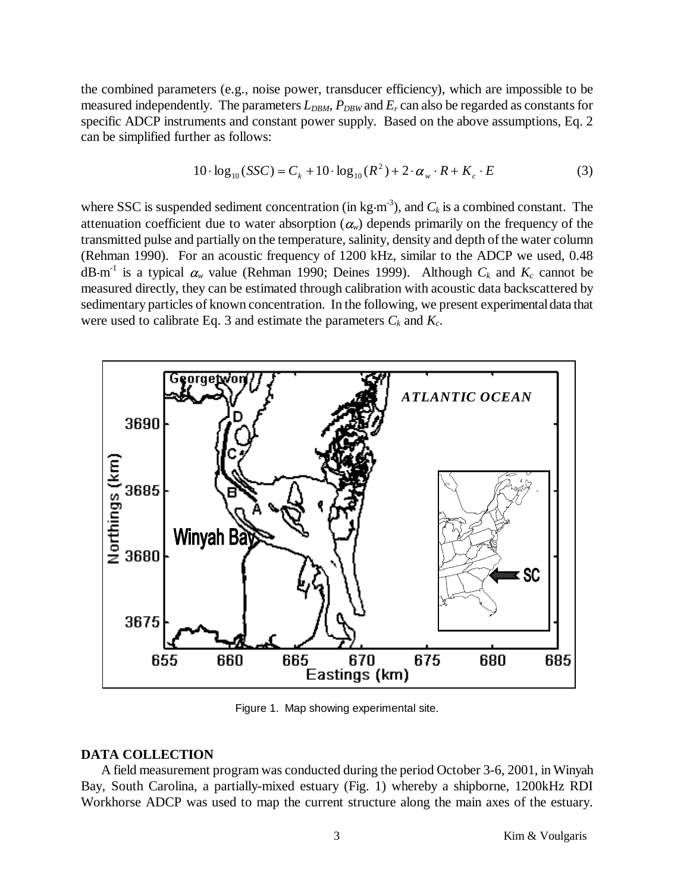the combined parameters (e.g., noise power, transducer efficiency), which are impossible to be measured independently. The parameters  $L_{DBM}$ ,  $P_{DBW}$  and  $E_r$  can also be regarded as constants for specific ADCP instruments and constant power supply. Based on the above assumptions, Eq. 2 can be simplified further as follows:

$$
10 \cdot \log_{10}(SSC) = C_k + 10 \cdot \log_{10}(R^2) + 2 \cdot \alpha_w \cdot R + K_c \cdot E \tag{3}
$$

where SSC is suspended sediment concentration (in kg  $m<sup>3</sup>$ ), and  $C<sub>k</sub>$  is a combined constant. The attenuation coefficient due to water absorption  $(\alpha_w)$  depends primarily on the frequency of the transmitted pulse and partially on the temperature, salinity, density and depth ofthe water column (Rehman 1990). For an acoustic frequency of 1200 kHz, similar to the ADCP we used, 0.48  $dB \cdot m^{-1}$  is a typical  $\alpha_w$  value (Rehman 1990; Deines 1999). Although  $C_k$  and  $K_c$  cannot be measured directly, they can be estimated through calibration with acoustic data backscattered by sedimentary particles of known concentration. In the following, we present experimental data that were used to calibrate Eq. 3 and estimate the parameters  $C_k$  and  $K_c$ .



Figure 1. Map showing experimental site.

#### **DATA COLLECTION**

A field measurement program was conducted during the period October 3-6, 2001, in Winyah Bay, South Carolina, a partially-mixed estuary (Fig. 1) whereby a shipborne, 1200kHz RDI Workhorse ADCP was used to map the current structure along the main axes of the estuary.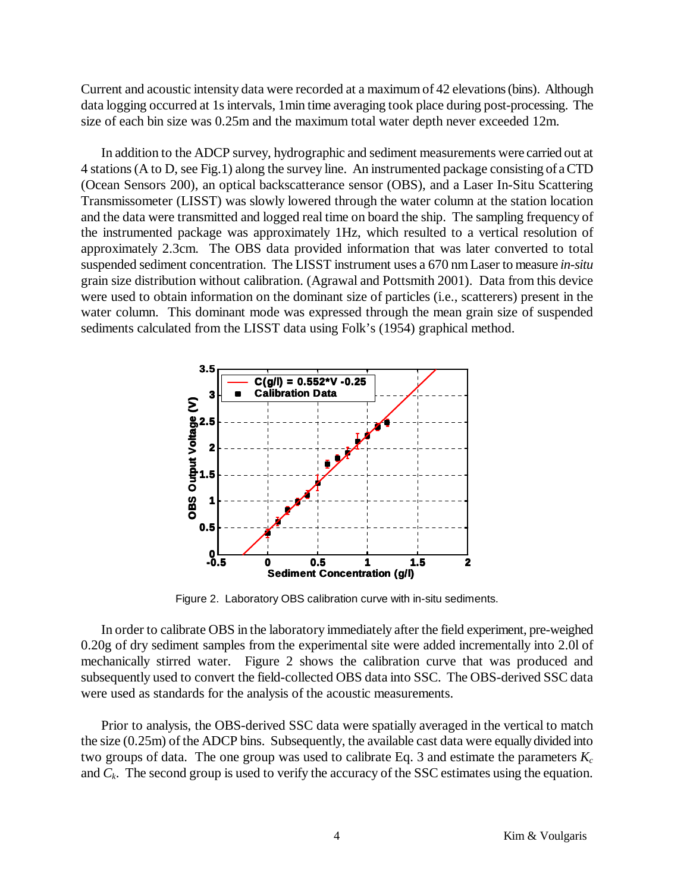Current and acoustic intensity data were recorded at a maximum of 42 elevations(bins). Although data logging occurred at 1s intervals, 1min time averaging took place during post-processing. The size of each bin size was 0.25m and the maximum total water depth never exceeded 12m.

In addition to the ADCP survey, hydrographic and sediment measurements were carried out at 4 stations(A to D, see Fig.1) along the survey line. An instrumented package consisting of aCTD (Ocean Sensors 200), an optical backscatterance sensor (OBS), and a Laser In-Situ Scattering Transmissometer (LISST) was slowly lowered through the water column at the station location and the data were transmitted and logged real time on board the ship. The sampling frequency of the instrumented package was approximately 1Hz, which resulted to a vertical resolution of approximately 2.3cm. The OBS data provided information that was later converted to total suspended sediment concentration. The LISST instrument uses a 670 nm Laser to measure *in-situ* grain size distribution without calibration. (Agrawal and Pottsmith 2001). Data from this device were used to obtain information on the dominant size of particles (i.e., scatterers) present in the water column. This dominant mode was expressed through the mean grain size of suspended sediments calculated from the LISST data using Folk's (1954) graphical method.



Figure 2. Laboratory OBS calibration curve with in-situ sediments.

In order to calibrate OBS in the laboratory immediately after the field experiment, pre-weighed 0.20g of dry sediment samples from the experimental site were added incrementally into 2.0l of mechanically stirred water. Figure 2 shows the calibration curve that was produced and subsequently used to convert the field-collected OBS data into SSC. The OBS-derived SSC data were used as standards for the analysis of the acoustic measurements.

Prior to analysis, the OBS-derived SSC data were spatially averaged in the vertical to match the size  $(0.25m)$  of the ADCP bins. Subsequently, the available cast data were equally divided into two groups of data. The one group was used to calibrate Eq. 3 and estimate the parameters *K<sup>c</sup>* and  $C_k$ . The second group is used to verify the accuracy of the SSC estimates using the equation.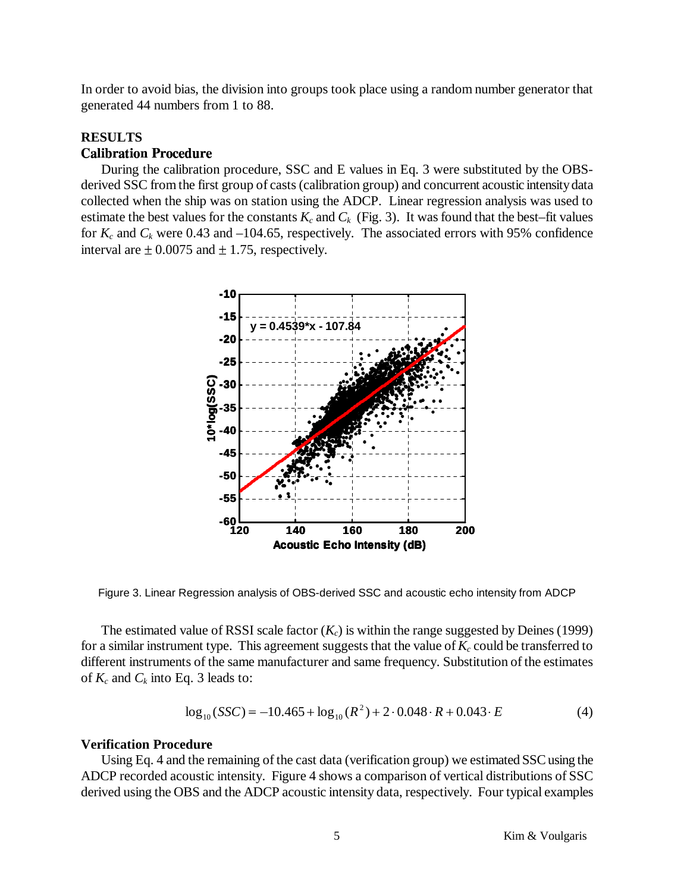In order to avoid bias, the division into groups took place using a random number generator that generated 44 numbers from 1 to 88.

#### **RESULTS** -

During the calibration procedure, SSC and E values in Eq. 3 were substituted by the OBSderived SSC from the first group of casts (calibration group) and concurrent acoustic intensity data collected when the ship was on station using the ADCP. Linear regression analysis was used to estimate the best values for the constants  $K_c$  and  $C_k$  (Fig. 3). It was found that the best–fit values for  $K_c$  and  $C_k$  were 0.43 and –104.65, respectively. The associated errors with 95% confidence interval are  $\pm$  0.0075 and  $\pm$  1.75, respectively.



Figure 3. Linear Regression analysis of OBS-derived SSC and acoustic echo intensity from ADCP

The estimated value of RSSI scale factor  $(K_c)$  is within the range suggested by Deines (1999) for a similar instrument type. This agreement suggests that the value of  $K_c$  could be transferred to different instruments of the same manufacturer and same frequency. Substitution of the estimates of  $K_c$  and  $C_k$  into Eq. 3 leads to:

$$
\log_{10}(SSC) = -10.465 + \log_{10}(R^2) + 2 \cdot 0.048 \cdot R + 0.043 \cdot E \tag{4}
$$

### **Verification Procedure**

Using Eq. 4 and the remaining of the cast data (verification group) we estimated SSC using the ADCP recorded acoustic intensity. Figure 4 shows a comparison of vertical distributions of SSC derived using the OBS and the ADCP acoustic intensity data, respectively. Four typical examples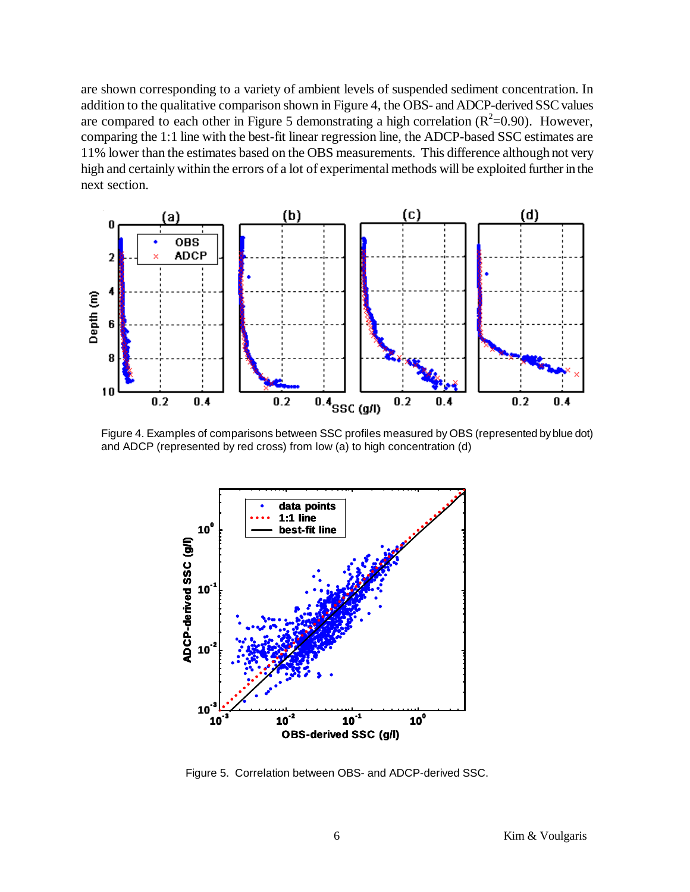are shown corresponding to a variety of ambient levels of suspended sediment concentration. In addition to the qualitative comparison shown in Figure 4, the OBS- and ADCP-derived SSCvalues are compared to each other in Figure 5 demonstrating a high correlation  $(R^2=0.90)$ . However, comparing the 1:1 line with the best-fit linear regression line, the ADCP-based SSC estimates are 11% lower than the estimates based on the OBS measurements. This difference although not very high and certainly within the errors of a lot of experimental methods will be exploited further in the next section.



Figure 4. Examples of comparisons between SSC profiles measured by OBS (represented byblue dot) and ADCP (represented by red cross) from low (a) to high concentration (d)



Figure 5. Correlation between OBS- and ADCP-derived SSC.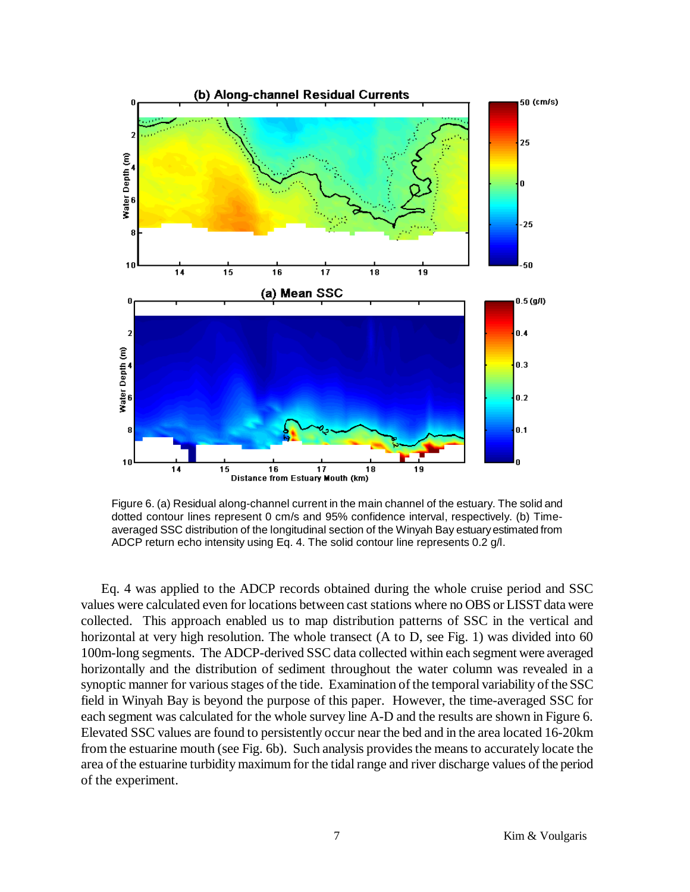

Figure 6. (a) Residual along-channel current in the main channel of the estuary. The solid and dotted contour lines represent 0 cm/s and 95% confidence interval, respectively. (b) Timeaveraged SSC distribution of the longitudinal section of the Winyah Bay estuaryestimated from ADCP return echo intensity using Eq. 4. The solid contour line represents 0.2 g/l.

Eq. 4 was applied to the ADCP records obtained during the whole cruise period and SSC values were calculated even for locations between cast stations where no OBS or LISST data were collected. This approach enabled us to map distribution patterns of SSC in the vertical and horizontal at very high resolution. The whole transect (A to D, see Fig. 1) was divided into 60 100m-long segments. The ADCP-derived SSC data collected within each segment were averaged horizontally and the distribution of sediment throughout the water column was revealed in a synoptic manner for various stages of the tide. Examination of the temporal variability of the SSC field in Winyah Bay is beyond the purpose of this paper. However, the time-averaged SSC for each segment was calculated for the whole survey line A-D and the results are shown in Figure 6. Elevated SSC values are found to persistently occur near the bed and in the area located 16-20km from the estuarine mouth (see Fig. 6b). Such analysis provides the means to accurately locate the area of the estuarine turbidity maximum for the tidal range and river discharge values of the period of the experiment.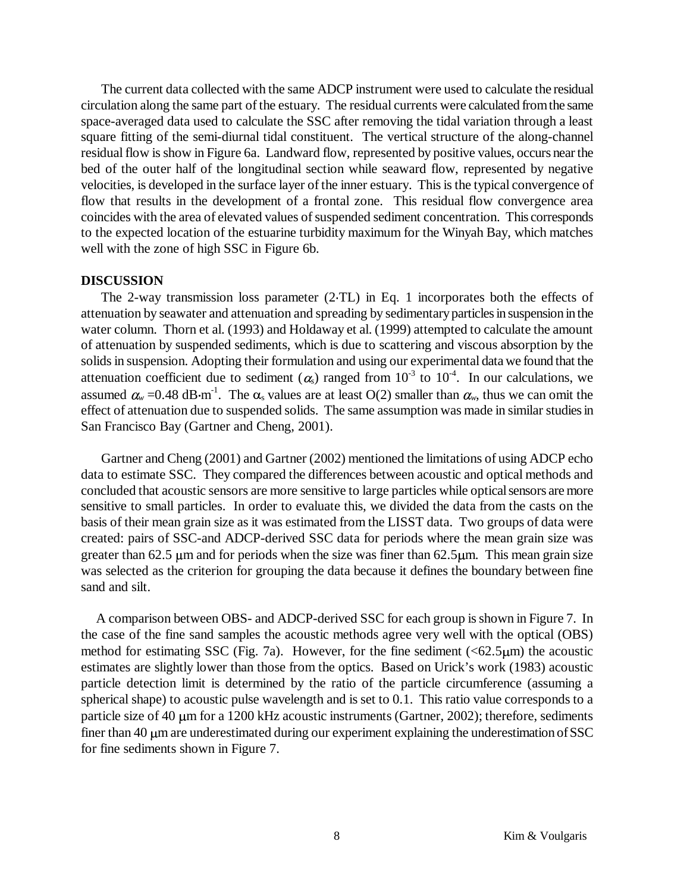The current data collected with the same ADCP instrument were used to calculate the residual circulation along the same part of the estuary. The residual currents were calculated from the same space-averaged data used to calculate the SSC after removing the tidal variation through a least square fitting of the semi-diurnal tidal constituent. The vertical structure of the along-channel residual flow is show in Figure 6a. Landward flow, represented by positive values, occurs near the bed of the outer half of the longitudinal section while seaward flow, represented by negative velocities, is developed in the surface layer of the inner estuary. This is the typical convergence of flow that results in the development of a frontal zone. This residual flow convergence area coincides with the area of elevated values of suspended sediment concentration. This corresponds to the expected location of the estuarine turbidity maximum for the Winyah Bay, which matches well with the zone of high SSC in Figure 6b.

#### **DISCUSSION**

The 2-way transmission loss parameter (2 TL) in Eq. 1 incorporates both the effects of attenuation by seawater and attenuation and spreading by sedimentaryparticlesin suspension in the water column. Thorn et al. (1993) and Holdaway et al. (1999) attempted to calculate the amount of attenuation by suspended sediments, which is due to scattering and viscous absorption by the solids in suspension. Adopting their formulation and using our experimental data we found that the attenuation coefficient due to sediment  $(\alpha_s)$  ranged from  $10^{-3}$  to  $10^{-4}$ . In our calculations, we assumed  $\alpha_w = 0.48$  dB·m<sup>-1</sup>. The  $\alpha_s$  values are at least O(2) smaller than  $\alpha_w$ , thus we can omit the effect of attenuation due to suspended solids. The same assumption was made in similar studies in San Francisco Bay (Gartner and Cheng, 2001).

Gartner and Cheng (2001) and Gartner (2002) mentioned the limitations of using ADCP echo data to estimate SSC. They compared the differences between acoustic and optical methods and concluded that acoustic sensors are more sensitive to large particles while opticalsensors aremore sensitive to small particles. In order to evaluate this, we divided the data from the casts on the basis of their mean grain size as it was estimated from the LISST data. Two groups of data were created: pairs of SSC-and ADCP-derived SSC data for periods where the mean grain size was greater than 62.5  $\mu$ m and for periods when the size was finer than 62.5 $\mu$ m. This mean grain size was selected as the criterion for grouping the data because it defines the boundary between fine sand and silt.

A comparison between OBS- and ADCP-derived SSC for each group isshown in Figure 7. In the case of the fine sand samples the acoustic methods agree very well with the optical (OBS) method for estimating SSC (Fig. 7a). However, for the fine sediment  $( $62.5\mu m$ )$  the acoustic estimates are slightly lower than those from the optics. Based on Urick's work (1983) acoustic particle detection limit is determined by the ratio of the particle circumference (assuming a spherical shape) to acoustic pulse wavelength and is set to 0.1. This ratio value corresponds to a particle size of 40  $\mu$ m for a 1200 kHz acoustic instruments (Gartner, 2002); therefore, sediments finer than  $40 \mu m$  are underestimated during our experiment explaining the underestimation of SSC for fine sediments shown in Figure 7.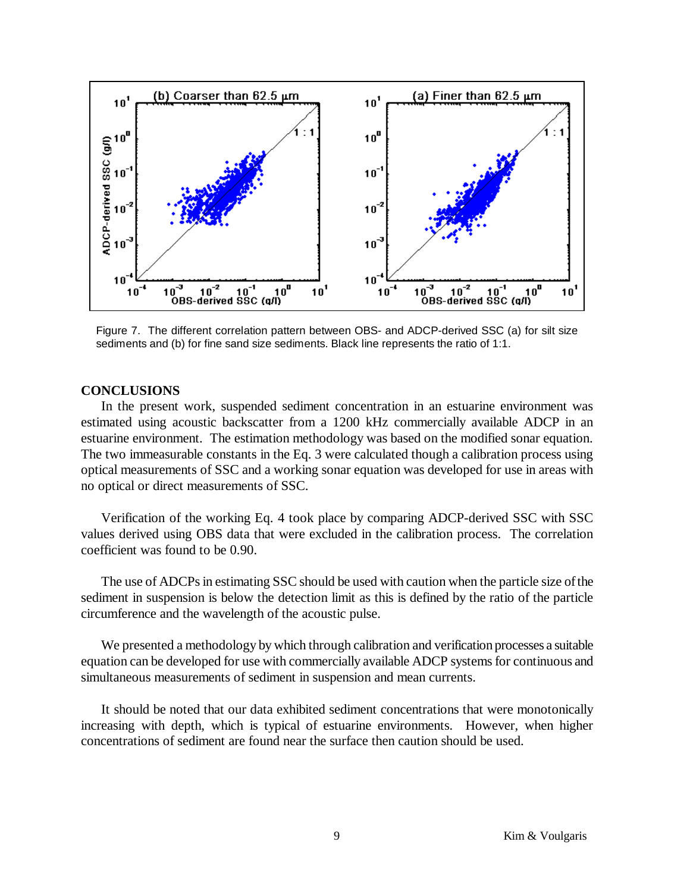

Figure 7. The different correlation pattern between OBS- and ADCP-derived SSC (a) for silt size sediments and (b) for fine sand size sediments. Black line represents the ratio of 1:1.

## **CONCLUSIONS**

In the present work, suspended sediment concentration in an estuarine environment was estimated using acoustic backscatter from a 1200 kHz commercially available ADCP in an estuarine environment. The estimation methodology was based on the modified sonar equation. The two immeasurable constants in the Eq. 3 were calculated though a calibration process using optical measurements of SSC and a working sonar equation was developed for use in areas with no optical or direct measurements of SSC.

Verification of the working Eq. 4 took place by comparing ADCP-derived SSC with SSC values derived using OBS data that were excluded in the calibration process. The correlation coefficient was found to be 0.90.

The use of ADCPs in estimating SSC should be used with caution when the particle size of the sediment in suspension is below the detection limit as this is defined by the ratio of the particle circumference and the wavelength of the acoustic pulse.

We presented a methodology by which through calibration and verification processes a suitable equation can be developed for use with commercially available ADCP systems for continuous and simultaneous measurements of sediment in suspension and mean currents.

It should be noted that our data exhibited sediment concentrations that were monotonically increasing with depth, which is typical of estuarine environments. However, when higher concentrations of sediment are found near the surface then caution should be used.